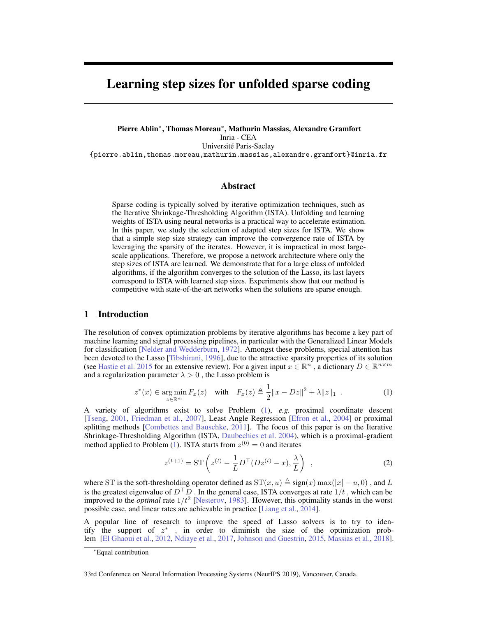# Learning step sizes for unfolded sparse coding

Pierre Ablin<sup>∗</sup> , Thomas Moreau<sup>∗</sup> , Mathurin Massias, Alexandre Gramfort Inria - CEA Université Paris-Saclay {pierre.ablin,thomas.moreau,mathurin.massias,alexandre.gramfort}@inria.fr

## Abstract

Sparse coding is typically solved by iterative optimization techniques, such as the Iterative Shrinkage-Thresholding Algorithm (ISTA). Unfolding and learning weights of ISTA using neural networks is a practical way to accelerate estimation. In this paper, we study the selection of adapted step sizes for ISTA. We show that a simple step size strategy can improve the convergence rate of ISTA by leveraging the sparsity of the iterates. However, it is impractical in most largescale applications. Therefore, we propose a network architecture where only the step sizes of ISTA are learned. We demonstrate that for a large class of unfolded algorithms, if the algorithm converges to the solution of the Lasso, its last layers correspond to ISTA with learned step sizes. Experiments show that our method is competitive with state-of-the-art networks when the solutions are sparse enough.

# 1 Introduction

The resolution of convex optimization problems by iterative algorithms has become a key part of machine learning and signal processing pipelines, in particular with the Generalized Linear Models for classification [\[Nelder and Wedderburn,](#page-9-0) [1972\]](#page-9-0). Amongst these problems, special attention has been devoted to the Lasso [\[Tibshirani,](#page-10-0) [1996\]](#page-10-0), due to the attractive sparsity properties of its solution (see [Hastie et al. 2015](#page-9-1) for an extensive review). For a given input  $x \in \mathbb{R}^n$ , a dictionary  $D \in \mathbb{R}^{n \times m}$ and a regularization parameter  $\lambda > 0$ , the Lasso problem is

$$
z^*(x) \in \argmin_{z \in \mathbb{R}^m} F_x(z) \quad \text{with} \quad F_x(z) \triangleq \frac{1}{2} \|x - Dz\|^2 + \lambda \|z\|_1 \tag{1}
$$

A variety of algorithms exist to solve Problem [\(1\)](#page-0-0), *e.g.* proximal coordinate descent [\[Tseng,](#page-10-1) [2001,](#page-10-1) [Friedman et al.,](#page-8-0) [2007\]](#page-8-0), Least Angle Regression [\[Efron et al.,](#page-8-1) [2004\]](#page-8-1) or proximal splitting methods [\[Combettes and Bauschke,](#page-8-2) [2011\]](#page-8-2). The focus of this paper is on the Iterative Shrinkage-Thresholding Algorithm (ISTA, [Daubechies et al. 2004\)](#page-8-3), which is a proximal-gradient method applied to Problem [\(1\)](#page-0-0). ISTA starts from  $z^{(0)} = 0$  and iterates

<span id="page-0-0"></span>
$$
z^{(t+1)} = \mathrm{ST}\left(z^{(t)} - \frac{1}{L}D^\top(Dz^{(t)} - x), \frac{\lambda}{L}\right) \tag{2}
$$

where ST is the soft-thresholding operator defined as  $ST(x, u) \triangleq sign(x) max(|x| - u, 0)$ , and L is the greatest eigenvalue of  $D<sup>T</sup>D$ . In the general case, ISTA converges at rate  $1/t$ , which can be improved to the *optimal* rate  $1/t^2$  [\[Nesterov,](#page-9-2) [1983\]](#page-9-2). However, this optimality stands in the worst possible case, and linear rates are achievable in practice [\[Liang et al.,](#page-9-3) [2014\]](#page-9-3).

A popular line of research to improve the speed of Lasso solvers is to try to identify the support of  $z^*$ , in order to diminish the size of the optimization problem [\[El Ghaoui et al.,](#page-8-4) [2012,](#page-8-4) [Ndiaye et al.,](#page-9-4) [2017,](#page-9-4) [Johnson and Guestrin,](#page-9-5) [2015,](#page-9-5) [Massias et al.,](#page-9-6) [2018\]](#page-9-6).

33rd Conference on Neural Information Processing Systems (NeurIPS 2019), Vancouver, Canada.

<sup>∗</sup>Equal contribution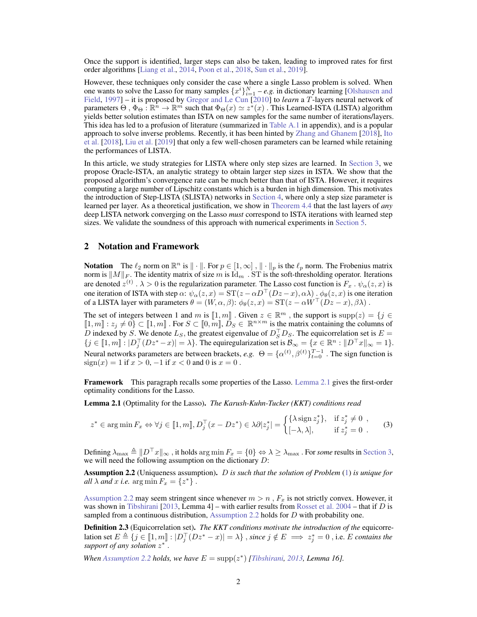Once the support is identified, larger steps can also be taken, leading to improved rates for first order algorithms [\[Liang et al.,](#page-9-3) [2014,](#page-9-3) [Poon et al.,](#page-9-7) [2018,](#page-9-7) [Sun et al.,](#page-10-2) [2019\]](#page-10-2).

However, these techniques only consider the case where a single Lasso problem is solved. When one wants to solve the Lasso for many samples  $\{x^i\}_{i=1}^N$  – *e.g.* in dictionary learning [\[Olshausen and](#page-9-8) [Field,](#page-9-8) [1997\]](#page-9-8) – it is proposed by [Gregor and Le Cun](#page-9-9) [\[2010\]](#page-9-9) to *learn* a T-layers neural network of parameters  $\Theta$ ,  $\Phi_{\Theta} : \mathbb{R}^n \to \mathbb{R}^m$  such that  $\Phi_{\Theta}(x) \simeq z^*(x)$ . This Learned-ISTA (LISTA) algorithm yields better solution estimates than ISTA on new samples for the same number of iterations/layers. This idea has led to a profusion of literature (summarized in Table A.1 in appendix), and is a popular approach to solve inverse problems. Recently, it has been hinted by [Zhang and Ghanem](#page-10-3) [\[2018\]](#page-10-3), [Ito](#page-9-10) [et al.](#page-9-10) [\[2018\]](#page-9-10), [Liu et al.](#page-9-11) [\[2019\]](#page-9-11) that only a few well-chosen parameters can be learned while retaining the performances of LISTA.

In this article, we study strategies for LISTA where only step sizes are learned. In [Section 3,](#page-2-0) we propose Oracle-ISTA, an analytic strategy to obtain larger step sizes in ISTA. We show that the proposed algorithm's convergence rate can be much better than that of ISTA. However, it requires computing a large number of Lipschitz constants which is a burden in high dimension. This motivates the introduction of Step-LISTA (SLISTA) networks in [Section 4,](#page-4-0) where only a step size parameter is learned per layer. As a theoretical justification, we show in [Theorem 4.4](#page-6-0) that the last layers of *any* deep LISTA network converging on the Lasso *must* correspond to ISTA iterations with learned step sizes. We validate the soundness of this approach with numerical experiments in [Section 5.](#page-7-0)

#### 2 Notation and Framework

**Notation** The  $\ell_2$  norm on  $\mathbb{R}^n$  is  $\|\cdot\|$ . For  $p \in [1,\infty]$ ,  $\|\cdot\|_p$  is the  $\ell_p$  norm. The Frobenius matrix norm is  $\|M\|_F$ . The identity matrix of size m is  $\mathrm{Id}_m$ . ST is the soft-thresholding operator. Iterations are denoted  $z^{(t)}$  .  $\lambda > 0$  is the regularization parameter. The Lasso cost function is  $F_x$  .  $\psi_\alpha(z, x)$  is one iteration of ISTA with step  $\alpha$ :  $\psi_{\alpha}(z, x) = ST(z - \alpha D^{\top}(Dz - x), \alpha \lambda) \cdot \phi_{\theta}(z, x)$  is one iteration of a LISTA layer with parameters  $\theta = (W, \alpha, \beta)$ :  $\phi_{\theta}(z, x) = ST(z - \alpha W^{\top}(Dz - x), \beta \lambda)$ .

The set of integers between 1 and m is  $[1, m]$ . Given  $z \in \mathbb{R}^m$ , the support is  $\supp(z) = \{j \in \mathbb{R}^m : \mathbb{R}^m \times \mathbb{R}^m\}$  $[1, m] : z_j \neq 0$   $\in [1, m]$  . For  $S \subset [0, m]$ ,  $\mathcal{D}_S \in \mathbb{R}^{n \times m}$  is the matrix containing the columns of D indexed by S. We denote  $L_S$ , the greatest eigenvalue of  $D_S^T D_S$ . The equicorrelation set is  $E =$  $\{j \in [\![1,m]\!]: |D_j^\top (Dz^* - x)| = \lambda\}.$  The equiregularization set is  $\mathcal{B}_{\infty} = \{x \in \mathbb{R}^n : ||D^\top x||_{\infty} = 1\}.$ Neural networks parameters are between brackets, *e.g.*  $\Theta = {\{\alpha^{(t)}, \beta^{(t)}\}}_{t=0}^{T-1}$ . The sign function is  $sign(x) = 1$  if  $x > 0$ ,  $-1$  if  $x < 0$  and 0 is  $x = 0$ .

Framework This paragraph recalls some properties of the Lasso. [Lemma 2.1](#page-1-0) gives the first-order optimality conditions for the Lasso.

<span id="page-1-0"></span>Lemma 2.1 (Optimality for the Lasso). *The Karush-Kuhn-Tucker (KKT) conditions read*

<span id="page-1-2"></span>
$$
z^* \in \arg\min F_x \Leftrightarrow \forall j \in [\![1, m]\!], D_j^\top (x - Dz^*) \in \lambda \partial |z_j^*| = \begin{cases} \{\lambda \operatorname{sign} z_j^*\}, & \text{if } z_j^* \neq 0 \\ [-\lambda, \lambda], & \text{if } z_j^* = 0 \end{cases} \tag{3}
$$

Defining  $\lambda_{\max} \triangleq ||D^\top x||_{\infty}$ , it holds arg min  $F_x = \{0\} \Leftrightarrow \lambda \geq \lambda_{\max}$ . For *some* results in [Section 3,](#page-2-0) we will need the following assumption on the dictionary D:

<span id="page-1-1"></span>Assumption 2.2 (Uniqueness assumption). D *is such that the solution of Problem* [\(1\)](#page-0-0) *is unique for all*  $\lambda$  *and*  $x$  *i.e.* arg min  $F_x = \{z^*\}$ .

[Assumption 2.2](#page-1-1) may seem stringent since whenever  $m > n$ ,  $F_x$  is not strictly convex. However, it was shown in [Tibshirani](#page-10-4) [\[2013,](#page-10-4) Lemma 4] – with earlier results from [Rosset et al. 2004](#page-10-5) – that if D is sampled from a continuous distribution, [Assumption 2.2](#page-1-1) holds for D with probability one.

Definition 2.3 (Equicorrelation set). *The KKT conditions motivate the introduction of the* equicorrelation set  $E \triangleq \{j \in [1, m] : |D_j^{\top}(Dz^* - x)| = \lambda\}$ , *since*  $j \notin E \implies z_j^* = 0$ , i.e. E *contains the support of any solution* z ∗ .

*When [Assumption 2.2](#page-1-1) holds, we have*  $E = \text{supp}(z^*)$  *[\[Tibshirani,](#page-10-4) [2013,](#page-10-4) Lemma 16].*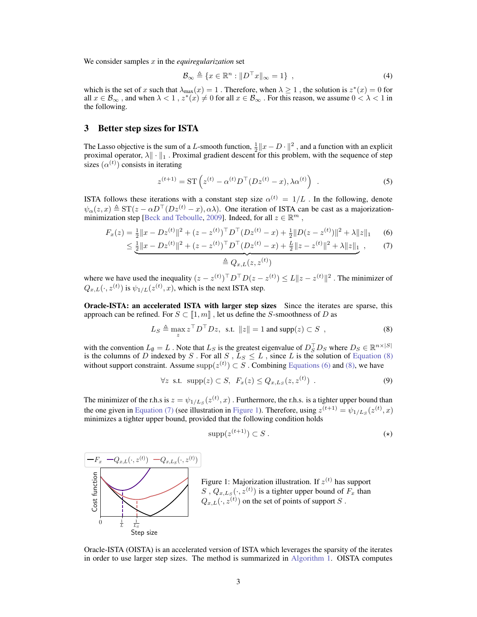We consider samples x in the *equiregularization* set

$$
\mathcal{B}_{\infty} \triangleq \{ x \in \mathbb{R}^n : ||D^{\top} x||_{\infty} = 1 \}, \qquad (4)
$$

which is the set of x such that  $\lambda_{\max}(x) = 1$ . Therefore, when  $\lambda \ge 1$ , the solution is  $z^*(x) = 0$  for all  $x \in \mathcal{B}_{\infty}$ , and when  $\lambda < 1$ ,  $z^*(x) \neq 0$  for all  $x \in \mathcal{B}_{\infty}$ . For this reason, we assume  $0 < \lambda < 1$  in the following.

# <span id="page-2-0"></span>3 Better step sizes for ISTA

The Lasso objective is the sum of a L-smooth function,  $\frac{1}{2} ||x - D \cdot ||^2$ , and a function with an explicit proximal operator,  $\lambda \| \cdot \|_1$ . Proximal gradient descent for this problem, with the sequence of step sizes  $(\alpha^{(t)})$  consists in iterating

$$
z^{(t+1)} = \mathrm{ST} \left( z^{(t)} - \alpha^{(t)} D^{\top} (D z^{(t)} - x), \lambda \alpha^{(t)} \right) . \tag{5}
$$

ISTA follows these iterations with a constant step size  $\alpha^{(t)} = 1/L$  . In the following, denote  $\psi_{\alpha}(z, x) \triangleq \mathrm{ST}(z - \alpha D^{\top}(Dz^{(t)} - x), \alpha \lambda)$ . One iteration of ISTA can be cast as a majorization-minimization step [\[Beck and Teboulle,](#page-8-5) [2009\]](#page-8-5). Indeed, for all  $z \in \mathbb{R}^m$ ,

$$
F_x(z) = \frac{1}{2} \|x - Dz^{(t)}\|^2 + (z - z^{(t)})^\top D^\top (Dz^{(t)} - x) + \frac{1}{2} \|D(z - z^{(t)})\|^2 + \lambda \|z\|_1 \tag{6}
$$

$$
\leq \underbrace{\frac{1}{2} \|x - Dz^{(t)}\|^2 + (z - z^{(t)})^\top D^\top (Dz^{(t)} - x) + \frac{L}{2} \|z - z^{(t)}\|^2 + \lambda \|z\|_1}_{\Lambda} \tag{7}
$$

<span id="page-2-3"></span><span id="page-2-2"></span><span id="page-2-1"></span>
$$
\triangleq Q_{x,L}(z,z^{(t)})
$$

where we have used the inequality  $(z - z^{(t)})^\top D^\top D(z - z^{(t)}) \le L \|z - z^{(t)}\|^2$ . The minimizer of  $Q_{x,L}(\cdot, z^{(t)})$  is  $\psi_{1/L}(z^{(t)}, x)$ , which is the next ISTA step.

Oracle-ISTA: an accelerated ISTA with larger step sizes Since the iterates are sparse, this approach can be refined. For  $S \subset \llbracket 1, m \rrbracket$ , let us define the S-smoothness of D as

$$
L_S \triangleq \max_{z} z^{\top} D^{\top} Dz, \text{ s.t. } ||z|| = 1 \text{ and } \text{supp}(z) \subset S ,
$$
 (8)

with the convention  $L_{\emptyset} = L$ . Note that  $L_S$  is the greatest eigenvalue of  $D_S^{\top} D_S$  where  $D_S \in \mathbb{R}^{n \times |S|}$ is the columns of D indexed by S. For all S,  $L_S \leq L$ , since L is the solution of [Equation \(8\)](#page-2-1) without support constraint. Assume  $\text{supp}(z^{(t)}) \subset S$ . Combining [Equations \(6\)](#page-2-2) and [\(8\),](#page-2-1) we have

$$
\forall z \text{ s.t. } \operatorname{supp}(z) \subset S, \ F_x(z) \le Q_{x,L_S}(z, z^{(t)}) \ . \tag{9}
$$

The minimizer of the r.h.s is  $z = \psi_{1/L_s}(z^{(t)}, x)$ . Furthermore, the r.h.s. is a tighter upper bound than the one given in [Equation \(7\)](#page-2-3) (see illustration in [Figure 1\)](#page-2-4). Therefore, using  $z^{(t+1)} = \psi_{1/L_S}(z^{(t)}, x)$ minimizes a tighter upper bound, provided that the following condition holds

<span id="page-2-6"></span><span id="page-2-5"></span>
$$
supp(z^{(t+1)}) \subset S \ . \tag{(*)}
$$

<span id="page-2-4"></span>



Oracle-ISTA (OISTA) is an accelerated version of ISTA which leverages the sparsity of the iterates in order to use larger step sizes. The method is summarized in [Algorithm 1.](#page-3-0) OISTA computes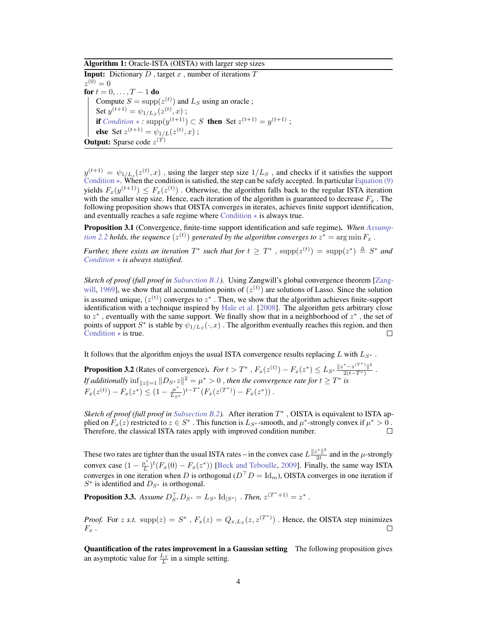Algorithm 1: Oracle-ISTA (OISTA) with larger step sizes

**Input:** Dictionary D, target x, number of iterations  $T$  $z^{(0)} = 0$ for  $t = 0, ..., T - 1$  do Compute  $S = \text{supp}(z^{(t)})$  and  $L_S$  using an oracle; Set  $y^{(t+1)} = \psi_{1/L_S}(z^{(t)}, x)$ ; **if**  $Condition \times : \text{supp}(y^{(t+1)}) \subset S$  $Condition \times : \text{supp}(y^{(t+1)}) \subset S$  **then** Set  $z^{(t+1)} = y^{(t+1)}$ ; **else** Set  $z^{(t+1)} = \psi_{1/L}(z^{(t)}, x)$ ; **Output:** Sparse code  $z^{(T)}$ 

<span id="page-3-0"></span> $y^{(t+1)} = \psi_{1/L_s}(z^{(t)}, x)$ , using the larger step size  $1/L_s$ , and checks if it satisfies the support [Condition](#page-2-5)  $\star$ . When the condition is satisfied, the step can be safely accepted. In particular [Equation \(9\)](#page-2-6) yields  $F_x(y^{(t+1)}) \leq F_x(z^{(t)})$ . Otherwise, the algorithm falls back to the regular ISTA iteration with the smaller step size. Hence, each iteration of the algorithm is guaranteed to decrease  $F_x$ . The following proposition shows that OISTA converges in iterates, achieves finite support identification, and eventually reaches a safe regime where [Condition](#page-2-5)  $\star$  is always true.

Proposition 3.1 (Convergence, finite-time support identification and safe regime). *When [Assump](#page-1-1)*[tion 2.2](#page-1-1) holds, the sequence  $(z^{(t)})$  generated by the algorithm converges to  $z^* = \arg \min F_x$  .

*Further, there exists an iteration*  $T^*$  *such that for*  $t \geq T^*$ ,  $\text{supp}(z^{(t)}) = \text{supp}(z^*) \triangleq S^*$  *and [Condition](#page-2-5)*  $\star$  *is always statisfied.* 

*Sketch of proof (full proof in Subsection B.1).* Using Zangwill's global convergence theorem [\[Zang](#page-10-6)[will,](#page-10-6) [1969\]](#page-10-6), we show that all accumulation points of  $(z^{(t)})$  are solutions of Lasso. Since the solution is assumed unique,  $(z^{(t)})$  converges to  $z^*$  . Then, we show that the algorithm achieves finite-support identification with a technique inspired by [Hale et al.](#page-9-12) [\[2008\]](#page-9-12). The algorithm gets arbitrary close to  $z^*$ , eventually with the same support. We finally show that in a neighborhood of  $z^*$ , the set of points of support  $S^*$  is stable by  $\psi_{1/L_S}(\cdot, x)$ . The algorithm eventually reaches this region, and then [Condition](#page-2-5)  $\star$  is true.

It follows that the algorithm enjoys the usual ISTA convergence results replacing L with  $L_{S^*}$ .

<span id="page-3-2"></span>**Proposition 3.2** (Rates of convergence). *For*  $t > T^*$ ,  $F_x(z^{(t)}) - F_x(z^*) \le L_{S^*} \frac{\|z^* - z^{(T^*)}\|^2}{2(t - T^*)}$  $\frac{-z}{2(t-T^*)}$ . *If additionally*  $\inf_{\|z\|=1} \|D_{S^*}z\|^2 = \mu^* > 0$  , *then the convergence rate for*  $t \geq T^*$  *is*  $F_x(z^{(t)}) - F_x(z^*) \leq (1 - \frac{\mu^*}{L_{S^*}})$  $\frac{\mu^*}{L_{S^*}}$ )<sup>t-T\*</sup>( $F_x(z^{(T^*)}) - F_x(z^*)$ ).

*Sketch of proof (full proof in Subsection B.2).* After iteration T ∗ , OISTA is equivalent to ISTA applied on  $F_x(z)$  restricted to  $z \in S^*$ . This function is  $L_{S^*}$ -smooth, and  $\mu^*$ -strongly convex if  $\mu^* > 0$ . Therefore, the classical ISTA rates apply with improved condition number.  $\Box$ 

These two rates are tighter than the usual ISTA rates – in the convex case  $L \frac{\|z^*\|^2}{2t}$  $\frac{z}{2t}$  and in the  $\mu$ -strongly convex case  $(1 - \frac{\mu^*}{L})$  $\frac{u^*}{L}$ <sup>t</sup> $(F_x(0) - F_x(z^*))$  [\[Beck and Teboulle,](#page-8-5) [2009\]](#page-8-5). Finally, the same way ISTA converges in one iteration when D is orthogonal ( $D<sup>T</sup>D = Id<sub>m</sub>$ ), OISTA converges in one iteration if  $S^*$  is identified and  $D_{S^*}$  is orthogonal.

**Proposition 3.3.** Assume  $D_{S^*}^{\top}D_{S^*} = L_{S^*} \text{Id}_{|S^*|}$  . Then,  $z^{(T^*+1)} = z^*$ .

*Proof.* For z s.t.  $\text{supp}(z) = S^*$ ,  $F_x(z) = Q_{x,L_S}(z, z^{(T^*)})$ . Hence, the OISTA step minimizes  $F_x$ .  $\Box$ 

<span id="page-3-1"></span>Quantification of the rates improvement in a Gaussian setting The following proposition gives an asymptotic value for  $\frac{L_S}{L}$  in a simple setting.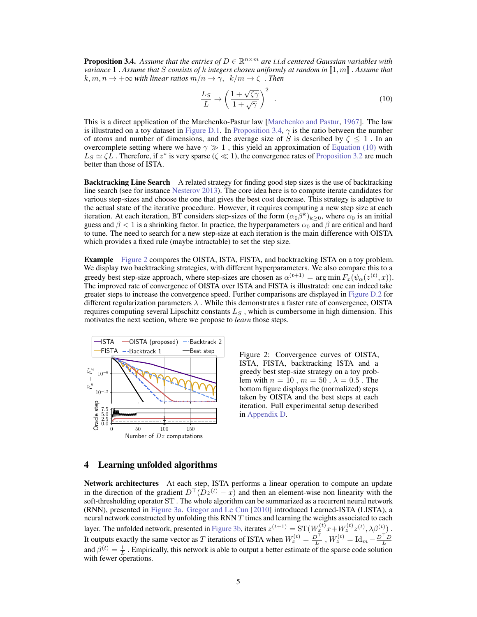**Proposition 3.4.** Assume that the entries of  $D \in \mathbb{R}^{n \times m}$  are i.i.d centered Gaussian variables with *variance* 1. *Assume that* S *consists of k integers chosen uniformly at random in*  $[1, m]$  *. Assume that*  $k, m, n \to +\infty$  *with linear ratios*  $m/n \to \gamma$ ,  $k/m \to \zeta$ . *Then* 

<span id="page-4-1"></span>
$$
\frac{L_S}{L} \to \left(\frac{1+\sqrt{\zeta\gamma}}{1+\sqrt{\gamma}}\right)^2 \tag{10}
$$

This is a direct application of the Marchenko-Pastur law [\[Marchenko and Pastur,](#page-9-13) [1967\]](#page-9-13). The law is illustrated on a toy dataset in Figure D.1. In [Proposition 3.4,](#page-3-1)  $\gamma$  is the ratio between the number of atoms and number of dimensions, and the average size of S is described by  $\zeta \leq 1$ . In an overcomplete setting where we have  $\gamma \gg 1$ , this yield an approximation of [Equation \(10\)](#page-4-1) with  $L_S \simeq \zeta L$ . Therefore, if  $z^*$  is very sparse ( $\zeta \ll 1$ ), the convergence rates of [Proposition 3.2](#page-3-2) are much better than those of ISTA.

**Backtracking Line Search** A related strategy for finding good step sizes is the use of backtracking line search (see for instance [Nesterov 2013\)](#page-9-14). The core idea here is to compute iterate candidates for various step-sizes and choose the one that gives the best cost decrease. This strategy is adaptive to the actual state of the iterative procedure. However, it requires computing a new step size at each iteration. At each iteration, BT considers step-sizes of the form  $(\alpha_0\beta^k)_{k\geq 0}$ , where  $\alpha_0$  is an initial guess and  $\beta$  < 1 is a shrinking factor. In practice, the hyperparameters  $\alpha_0$  and  $\beta$  are critical and hard to tune. The need to search for a new step-size at each iteration is the main difference with OISTA which provides a fixed rule (maybe intractable) to set the step size.

Example [Figure 2](#page-4-2) compares the OISTA, ISTA, FISTA, and backtracking ISTA on a toy problem. We display two backtracking strategies, with different hyperparameters. We also compare this to a greedy best step-size approach, where step-sizes are chosen as  $\alpha^{(t+1)} = \arg \min F_x(\psi_\alpha(z^{(t)}, x)).$ The improved rate of convergence of OISTA over ISTA and FISTA is illustrated: one can indeed take greater steps to increase the convergence speed. Further comparisons are displayed in Figure D.2 for different regularization parameters  $\lambda$ . While this demonstrates a faster rate of convergence, OISTA requires computing several Lipschitz constants  $L<sub>S</sub>$ , which is cumbersome in high dimension. This motivates the next section, where we propose to *learn* those steps.

<span id="page-4-2"></span>

Figure 2: Convergence curves of OISTA, ISTA, FISTA, backtracking ISTA and a greedy best step-size strategy on a toy problem with  $n = 10$ ,  $m = 50$ ,  $\lambda = 0.5$ . The bottom figure displays the (normalized) steps taken by OISTA and the best steps at each iteration. Full experimental setup described in Appendix D.

# <span id="page-4-0"></span>4 Learning unfolded algorithms

Network architectures At each step, ISTA performs a linear operation to compute an update in the direction of the gradient  $D^{\top}(Dz^{(t)} - x)$  and then an element-wise non linearity with the soft-thresholding operator ST. The whole algorithm can be summarized as a recurrent neural network (RNN), presented in [Figure 3a.](#page-5-0) [Gregor and Le Cun](#page-9-9) [\[2010\]](#page-9-9) introduced Learned-ISTA (LISTA), a neural network constructed by unfolding this RNN  $T$  times and learning the weights associated to each layer. The unfolded network, presented in [Figure 3b,](#page-5-0) iterates  $z^{(t+1)} = \mathrm{ST}(W_x^{(t)}x + W_z^{(t)}z^{(t)}, \lambda \beta^{(t)})$ . It outputs exactly the same vector as T iterations of ISTA when  $W_x^{(t)} = \frac{D^{\top}}{L}$ ,  $W_z^{(t)} = \text{Id}_m - \frac{D^{\top}D}{L}$ and  $\beta^{(t)} = \frac{1}{L}$ . Empirically, this network is able to output a better estimate of the sparse code solution with fewer operations.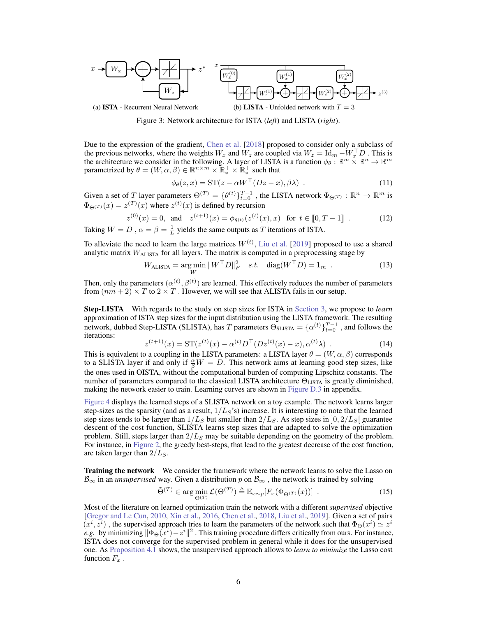<span id="page-5-0"></span>

(a) ISTA - Recurrent Neural Network

Figure 3: Network architecture for ISTA (*left*) and LISTA (*right*).

Due to the expression of the gradient, [Chen et al.](#page-8-6) [\[2018\]](#page-8-6) proposed to consider only a subclass of the previous networks, where the weights  $W_x$  and  $W_z$  are coupled via  $W_z = \text{Id}_m - W_x^\top D$ . This is the architecture we consider in the following. A layer of LISTA is a function  $\phi_{\theta} : \mathbb{R}^m \times \mathbb{R}^n \to \mathbb{R}^m$ parametrized by  $\theta = (W, \alpha, \beta) \in \mathbb{R}^{n \times m} \times \mathbb{R}_*^+ \times \mathbb{R}_*^+$  such that

<span id="page-5-3"></span>
$$
\phi_{\theta}(z,x) = \mathrm{ST}(z - \alpha W^{\top}(Dz - x), \beta \lambda) \tag{11}
$$

Given a set of T layer parameters  $\Theta^{(T)} = {\theta^{(t)}}_{t=0}^{T-1}$ , the LISTA network  $\Phi_{\Theta^{(T)}} : \mathbb{R}^n \to \mathbb{R}^m$  is  $\Phi_{\Theta}(x) = z^{(T)}(x)$  where  $z^{(t)}(x)$  is defined by recursion

$$
z^{(0)}(x) = 0, \text{ and } z^{(t+1)}(x) = \phi_{\theta^{(t)}}(z^{(t)}(x), x) \text{ for } t \in [0, T-1] .
$$
 (12)  

$$
W = D_{\theta} \alpha - \beta = \frac{1}{2} \text{ yields the same outputs as } T \text{ iterations of ISTA}
$$

Taking  $W = D$ ,  $\alpha = \beta = \frac{1}{L}$  yields the same outputs as T iterations of ISTA.

To alleviate the need to learn the large matrices  $W^{(t)}$ , [Liu et al.](#page-9-11) [\[2019\]](#page-9-11) proposed to use a shared analytic matrix  $W<sub>ALISTA</sub>$  for all layers. The matrix is computed in a preprocessing stage by

$$
W_{\text{ALISTA}} = \underset{W}{\text{arg min}} \, \|W^{\top}D\|_{F}^{2} \quad s.t. \quad \text{diag}(W^{\top}D) = \mathbf{1}_{m} \quad . \tag{13}
$$

Then, only the parameters  $(\alpha^{(t)}, \beta^{(t)})$  are learned. This effectively reduces the number of parameters from  $(nm + 2) \times T$  to  $2 \times T$ . However, we will see that ALISTA fails in our setup.

Step-LISTA With regards to the study on step sizes for ISTA in [Section 3,](#page-2-0) we propose to *learn* approximation of ISTA step sizes for the input distribution using the LISTA framework. The resulting network, dubbed Step-LISTA (SLISTA), has T parameters  $\Theta_{\text{SLISTA}} = {\alpha^{(t)}}_{t=0}^{T-1}$ , and follows the iterations:

$$
z^{(t+1)}(x) = \mathrm{ST}(z^{(t)}(x) - \alpha^{(t)}D^\top (Dz^{(t)}(x) - x), \alpha^{(t)}\lambda) \tag{14}
$$

This is equivalent to a coupling in the LISTA parameters: a LISTA layer  $\theta = (W, \alpha, \beta)$  corresponds to a SLISTA layer if and only if  $\frac{\alpha}{\beta}W = D$ . This network aims at learning good step sizes, like the ones used in OISTA, without the computational burden of computing Lipschitz constants. The number of parameters compared to the classical LISTA architecture  $Θ_{LISTA}$  is greatly diminished, making the network easier to train. Learning curves are shown in Figure D.3 in appendix.

[Figure 4](#page-6-1) displays the learned steps of a SLISTA network on a toy example. The network learns larger step-sizes as the sparsity (and as a result,  $1/L_S$ 's) increase. It is interesting to note that the learned step sizes tends to be larger than  $1/L_S$  but smaller than  $2/L_S$ . As step sizes in  $[0, 2/L_S]$  guarantee descent of the cost function, SLISTA learns step sizes that are adapted to solve the optimization problem. Still, steps larger than  $2/L<sub>S</sub>$  may be suitable depending on the geometry of the problem. For instance, in [Figure 2,](#page-4-2) the greedy best-steps, that lead to the greatest decrease of the cost function, are taken larger than  $2/L<sub>S</sub>$ .

**Training the network** We consider the framework where the network learns to solve the Lasso on  $B_{\infty}$  in an *unsupervised* way. Given a distribution p on  $B_{\infty}$ , the network is trained by solving

<span id="page-5-2"></span>
$$
\tilde{\Theta}^{(T)} \in \arg\min_{\Theta^{(T)}} \mathcal{L}(\Theta^{(T)}) \triangleq \mathbb{E}_{x \sim p} [F_x(\Phi_{\Theta^{(T)}}(x))] \tag{15}
$$

<span id="page-5-1"></span>Most of the literature on learned optimization train the network with a different *supervised* objective [\[Gregor and Le Cun,](#page-9-9) [2010,](#page-9-9) [Xin et al.,](#page-10-7) [2016,](#page-10-7) [Chen et al.,](#page-8-6) [2018,](#page-8-6) [Liu et al.,](#page-9-11) [2019\]](#page-9-11). Given a set of pairs  $(x^i, z^i)$ , the supervised approach tries to learn the parameters of the network such that  $\Phi_{\Theta}(x^i) \simeq z^i$ *e.g.* by minimizing  $\|\Phi_{\Theta}(\vec{x}^i) - z^i\|^2$ . This training procedure differs critically from ours. For instance, ISTA does not converge for the supervised problem in general while it does for the unsupervised one. As [Proposition 4.1](#page-5-1) shows, the unsupervised approach allows to *learn to minimize* the Lasso cost function  $F_x$ .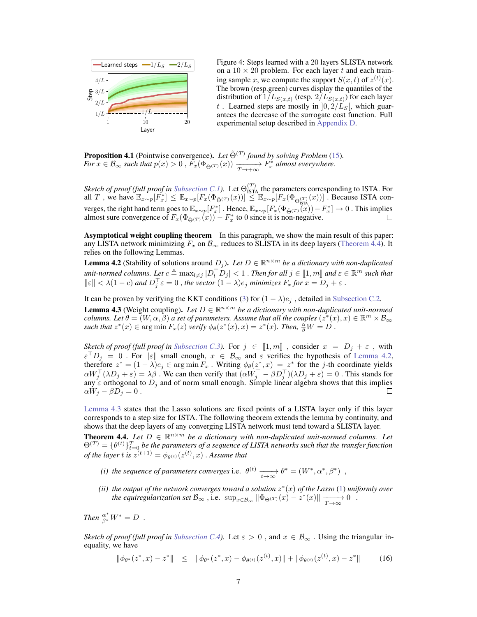<span id="page-6-1"></span>

Figure 4: Steps learned with a 20 layers SLISTA network on a  $10 \times 20$  problem. For each layer t and each training sample x, we compute the support  $S(x,t)$  of  $z^{(t)}(x)$ . The brown (resp.green) curves display the quantiles of the distribution of  $1/L_{S(x,t)}$  (resp.  $2/L_{S(x,t)}$ ) for each layer t. Learned steps are mostly in  $]0, 2/L<sub>S</sub>[$ , which guarantees the decrease of the surrogate cost function. Full experimental setup described in Appendix D.

**Proposition 4.1** (Pointwise convergence). Let  $\tilde{\Theta}^{(T)}$  found by solving Problem [\(15\)](#page-5-2). *For*  $x \in \mathcal{B}_{\infty}$  *such that*  $p(x) > 0$  ,  $\overline{F_x}(\Phi_{\tilde{\Theta}^{(T)}}(x)) \xrightarrow[T \to +\infty]{T^*} F_x^*$  almost everywhere.

*Sketch of proof (full proof in Subsection C.1).* Let  $\Theta_{\text{ISTA}}^{(T)}$  the parameters corresponding to ISTA. For all T, we have  $\mathbb{E}_{x \sim p}[\tilde{F}_x^*] \leq \mathbb{E}_{x \sim p}[F_x(\Phi_{\tilde{\Theta}(x)}(x))] \leq \mathbb{E}_{x \sim p}[F_x(\Phi_{\Theta_{\text{ISTA}}}^{\text{(T)}}(x))]$ . Because ISTA converges, the right hand term goes to  $\mathbb{E}_{x \sim p}[F_x^*]$ . Hence,  $\mathbb{E}_{x \sim p}[F_x(\Phi_{\tilde{\Theta}(x)}(x)) - F_x^*] \to 0$ . This implies almost sure convergence of  $F_x(\Phi_{\tilde{\Theta}^{(T)}}(x)) - F_x^*$  to 0 since it is non-negative.

Asymptotical weight coupling theorem In this paragraph, we show the main result of this paper: any LISTA network minimizing  $F_x$  on  $\mathcal{B}_{\infty}$  reduces to SLISTA in its deep layers [\(Theorem 4.4\)](#page-6-0). It relies on the following Lemmas.

<span id="page-6-2"></span>**Lemma 4.2** (Stability of solutions around  $D_j$ ). Let  $D \in \mathbb{R}^{n \times m}$  be a dictionary with non-duplicated  $u$ *nit-normed columns. Let*  $c \triangleq \max_{l \neq j} |D_l^\top D_j| < 1$  . *Then for all*  $j \in [\![1,m]\!]$  and  $\varepsilon \in \mathbb{R}^m$  such that  $\|\varepsilon\| < \lambda(1-c)$  and  $D_j^\top \varepsilon = 0$ , the vector  $(1-\lambda)e_j$  minimizes  $F_x$  for  $x = D_j + \varepsilon$ .

It can be proven by verifying the KKT conditions [\(3\)](#page-1-2) for  $(1 - \lambda)e_j$ , detailed in Subsection C.2.

<span id="page-6-3"></span>**Lemma 4.3** (Weight coupling). Let  $D \in \mathbb{R}^{n \times m}$  be a dictionary with non-duplicated unit-normed *columns. Let*  $\theta = (W, \alpha, \beta)$  *a set of parameters. Assume that all the couples*  $(z^*(x), x) \in \mathbb{R}^m \times \mathcal{B}_{\infty}$ such that  $z^*(x) \in \argmin F_x(z)$  *verify*  $\phi_\theta(z^*(x), x) = z^*(x)$ . Then,  $\frac{\dot{\alpha}}{\beta}W = D$ .

*Sketch of proof (full proof in Subsection C.3).* For  $j \in [1, m]$ , consider  $x = D_j + \varepsilon$ , with  $\varepsilon^{\top} D_j = 0$ . For  $||\varepsilon||$  small enough,  $x \in \mathcal{B}_{\infty}$  and  $\varepsilon$  verifies the hypothesis of [Lemma 4.2,](#page-6-2) therefore  $z^* = (1 - \lambda)e_j \in \arg \min F_x$ . Writing  $\phi_\theta(z^*, x) = z^*$  for the *j*-th coordinate yields  $\alpha W_j^\top (\lambda D_j + \varepsilon) = \lambda \beta$ . We can then verify that  $(\alpha W_j^\top - \beta D_j^\top)(\lambda D_j + \varepsilon) = 0$ . This stands for any  $\varepsilon$  orthogonal to  $D_j$  and of norm small enough. Simple linear algebra shows that this implies  $\alpha W_j - \beta D_j = 0$ . П

[Lemma 4.3](#page-6-3) states that the Lasso solutions are fixed points of a LISTA layer only if this layer corresponds to a step size for ISTA. The following theorem extends the lemma by continuity, and shows that the deep layers of any converging LISTA network must tend toward a SLISTA layer.

<span id="page-6-0"></span>**Theorem 4.4.** *Let*  $D \in \mathbb{R}^{n \times m}$  *be a dictionary with non-duplicated unit-normed columns. Let*  $\Theta^{(T)} = \{\theta^{(t)}\}_{t=0}^{T}$  be the parameters of a sequence of LISTA networks such that the transfer function *of the layer t is*  $z^{(t+1)} = \phi_{\theta^{(t)}}(z^{(t)}, x)$  . Assume that

- *(i) the sequence of parameters converges* i.e.  $\theta^{(t)} \longrightarrow_{t \to \infty} \theta^* = (W^*, \alpha^*, \beta^*)$ ,
- (*ii*) the output of the network converges toward a solution  $z^*(x)$  of the Lasso [\(1\)](#page-0-0) *uniformly over the equiregularization set*  $\mathcal{B}_{\infty}$ , i.e.  $\sup_{x \in \mathcal{B}_{\infty}} \|\Phi_{\Theta^{(T)}}(x) - z^*(x)\| \xrightarrow[T \to \infty]{} 0$ .

*Then*  $\frac{\alpha^*}{\beta^*}W^* = D$ .

*Sketch of proof (full proof in Subsection C.4).* Let  $\varepsilon > 0$ , and  $x \in \mathcal{B}_{\infty}$ . Using the triangular inequality, we have

$$
\|\phi_{\theta^*}(z^*,x)-z^*\| \leq \|\phi_{\theta^*}(z^*,x)-\phi_{\theta^{(t)}}(z^{(t)},x)\| + \|\phi_{\theta^{(t)}}(z^{(t)},x)-z^*\| \qquad (16)
$$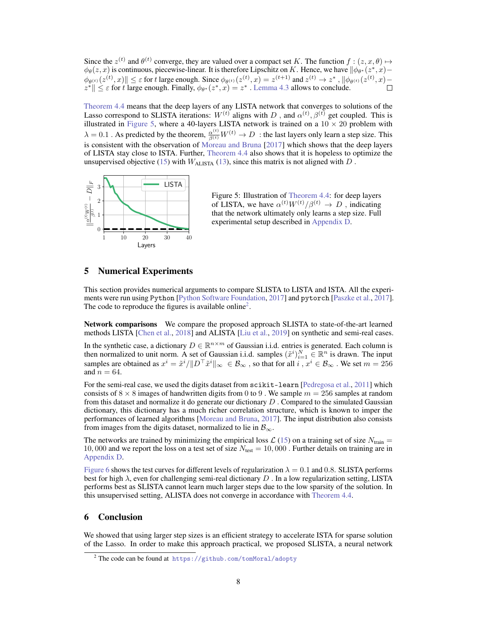Since the  $z^{(t)}$  and  $\theta^{(t)}$  converge, they are valued over a compact set K. The function  $f : (z, x, \theta) \mapsto$  $\phi_{\theta}(z, x)$  is continuous, piecewise-linear. It is therefore Lipschitz on K. Hence, we have  $\|\phi_{\theta^*}(z^*, x) \|\phi_{\theta^{(t)}}(z^{(t)},x)\| \leq \varepsilon$  for t large enough. Since  $\phi_{\theta^{(t)}}(z^{(t)},x) = z^{(t+1)}$  and  $z^{(t)} \to z^*$ ,  $\|\phi_{\theta^{(t)}}(z^{(t)},x) - z^*\| \leq \varepsilon$  for t large enough. Finally,  $\phi_{\theta^*}(z^*,x) = z^*$ . [Lemma 4.3](#page-6-3) allows to conclude.

[Theorem 4.4](#page-6-0) means that the deep layers of any LISTA network that converges to solutions of the Lasso correspond to SLISTA iterations:  $W^{(t)}$  aligns with D, and  $\alpha^{(t)}$ ,  $\beta^{(t)}$  get coupled. This is illustrated in [Figure 5,](#page-7-1) where a 40-layers LISTA network is trained on a  $10 \times 20$  problem with  $\lambda = 0.1$  . As predicted by the theorem,  $\frac{\alpha^{(t)}}{\beta^{(t)}} W^{(t)} \to D$  : the last layers only learn a step size. This is consistent with the observation of [Moreau and Bruna](#page-9-15) [\[2017\]](#page-9-15) which shows that the deep layers of LISTA stay close to ISTA. Further, [Theorem 4.4](#page-6-0) also shows that it is hopeless to optimize the unsupervised objective [\(15\)](#page-5-2) with  $W_{\text{ALISTA}}$  [\(13\)](#page-5-3), since this matrix is not aligned with D.

<span id="page-7-1"></span>

Figure 5: Illustration of [Theorem 4.4:](#page-6-0) for deep layers of LISTA, we have  $\alpha^{(t)}W^{(t)}/\beta^{(t)} \rightarrow D$ , indicating that the network ultimately only learns a step size. Full experimental setup described in Appendix D.

# <span id="page-7-0"></span>5 Numerical Experiments

This section provides numerical arguments to compare SLISTA to LISTA and ISTA. All the experiments were run using Python [\[Python Software Foundation,](#page-9-16) [2017\]](#page-9-16) and pytorch [\[Paszke et al.,](#page-9-17) [2017\]](#page-9-17). The code to reproduce the figures is available online<sup>[2](#page-7-2)</sup>.

Network comparisons We compare the proposed approach SLISTA to state-of-the-art learned methods LISTA [\[Chen et al.,](#page-8-6) [2018\]](#page-8-6) and ALISTA [\[Liu et al.,](#page-9-11) [2019\]](#page-9-11) on synthetic and semi-real cases.

In the synthetic case, a dictionary  $D \in \mathbb{R}^{n \times m}$  of Gaussian i.i.d. entries is generated. Each column is then normalized to unit norm. A set of Gaussian i.i.d. samples  $(\tilde{x}^i)_{i=1}^N \in \mathbb{R}^n$  is drawn. The input samples are obtained as  $x^i = \tilde{x}^i / \|D^\top \tilde{x}^i\|_{\infty} \in \mathcal{B}_{\infty}$ , so that for all  $i, x^i \in \mathcal{B}_{\infty}$ . We set  $m = 256$ and  $n = 64$ .

For the semi-real case, we used the digits dataset from scikit-learn [\[Pedregosa et al.,](#page-9-18) [2011\]](#page-9-18) which consists of  $8 \times 8$  images of handwritten digits from 0 to 9. We sample  $m = 256$  samples at random from this dataset and normalize it do generate our dictionary  $D$ . Compared to the simulated Gaussian dictionary, this dictionary has a much richer correlation structure, which is known to imper the performances of learned algorithms [\[Moreau and Bruna,](#page-9-15) [2017\]](#page-9-15). The input distribution also consists from images from the digits dataset, normalized to lie in  $\mathcal{B}_{\infty}$ .

The networks are trained by minimizing the empirical loss  $\mathcal{L}(15)$  $\mathcal{L}(15)$  on a training set of size  $N_{\text{train}} =$ 10, 000 and we report the loss on a test set of size  $N_{\text{test}} = 10,000$ . Further details on training are in Appendix D.

[Figure 6](#page-8-7) shows the test curves for different levels of regularization  $\lambda = 0.1$  and 0.8. SLISTA performs best for high  $\lambda$ , even for challenging semi-real dictionary D. In a low regularization setting, LISTA performs best as SLISTA cannot learn much larger steps due to the low sparsity of the solution. In this unsupervised setting, ALISTA does not converge in accordance with [Theorem 4.4.](#page-6-0)

# 6 Conclusion

We showed that using larger step sizes is an efficient strategy to accelerate ISTA for sparse solution of the Lasso. In order to make this approach practical, we proposed SLISTA, a neural network

<span id="page-7-2"></span><sup>2</sup> The code can be found at <https://github.com/tomMoral/adopty>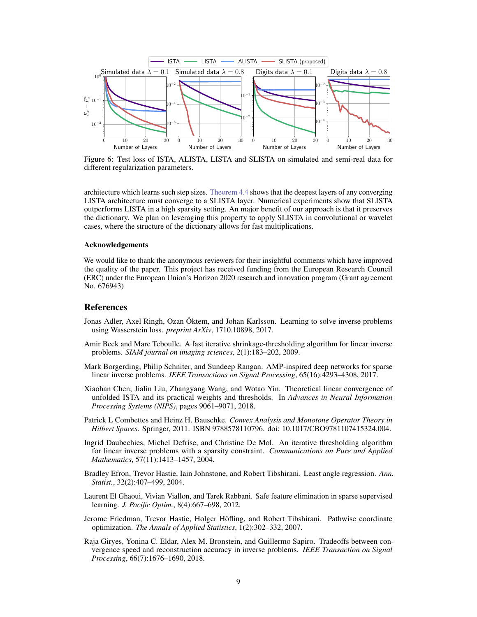<span id="page-8-7"></span>

Figure 6: Test loss of ISTA, ALISTA, LISTA and SLISTA on simulated and semi-real data for different regularization parameters.

architecture which learns such step sizes. [Theorem 4.4](#page-6-0) shows that the deepest layers of any converging LISTA architecture must converge to a SLISTA layer. Numerical experiments show that SLISTA outperforms LISTA in a high sparsity setting. An major benefit of our approach is that it preserves the dictionary. We plan on leveraging this property to apply SLISTA in convolutional or wavelet cases, where the structure of the dictionary allows for fast multiplications.

#### Acknowledgements

We would like to thank the anonymous reviewers for their insightful comments which have improved the quality of the paper. This project has received funding from the European Research Council (ERC) under the European Union's Horizon 2020 research and innovation program (Grant agreement No. 676943)

#### References

- Jonas Adler, Axel Ringh, Ozan Öktem, and Johan Karlsson. Learning to solve inverse problems using Wasserstein loss. *preprint ArXiv*, 1710.10898, 2017.
- <span id="page-8-5"></span>Amir Beck and Marc Teboulle. A fast iterative shrinkage-thresholding algorithm for linear inverse problems. *SIAM journal on imaging sciences*, 2(1):183–202, 2009.
- Mark Borgerding, Philip Schniter, and Sundeep Rangan. AMP-inspired deep networks for sparse linear inverse problems. *IEEE Transactions on Signal Processing*, 65(16):4293–4308, 2017.
- <span id="page-8-6"></span>Xiaohan Chen, Jialin Liu, Zhangyang Wang, and Wotao Yin. Theoretical linear convergence of unfolded ISTA and its practical weights and thresholds. In *Advances in Neural Information Processing Systems (NIPS)*, pages 9061–9071, 2018.
- <span id="page-8-2"></span>Patrick L Combettes and Heinz H. Bauschke. *Convex Analysis and Monotone Operator Theory in Hilbert Spaces*. Springer, 2011. ISBN 9788578110796. doi: 10.1017/CBO9781107415324.004.
- <span id="page-8-3"></span>Ingrid Daubechies, Michel Defrise, and Christine De Mol. An iterative thresholding algorithm for linear inverse problems with a sparsity constraint. *Communications on Pure and Applied Mathematics*, 57(11):1413–1457, 2004.
- <span id="page-8-1"></span>Bradley Efron, Trevor Hastie, Iain Johnstone, and Robert Tibshirani. Least angle regression. *Ann. Statist.*, 32(2):407–499, 2004.
- <span id="page-8-4"></span>Laurent El Ghaoui, Vivian Viallon, and Tarek Rabbani. Safe feature elimination in sparse supervised learning. *J. Pacific Optim.*, 8(4):667–698, 2012.
- <span id="page-8-0"></span>Jerome Friedman, Trevor Hastie, Holger Höfling, and Robert Tibshirani. Pathwise coordinate optimization. *The Annals of Applied Statistics*, 1(2):302–332, 2007.
- Raja Giryes, Yonina C. Eldar, Alex M. Bronstein, and Guillermo Sapiro. Tradeoffs between convergence speed and reconstruction accuracy in inverse problems. *IEEE Transaction on Signal Processing*, 66(7):1676–1690, 2018.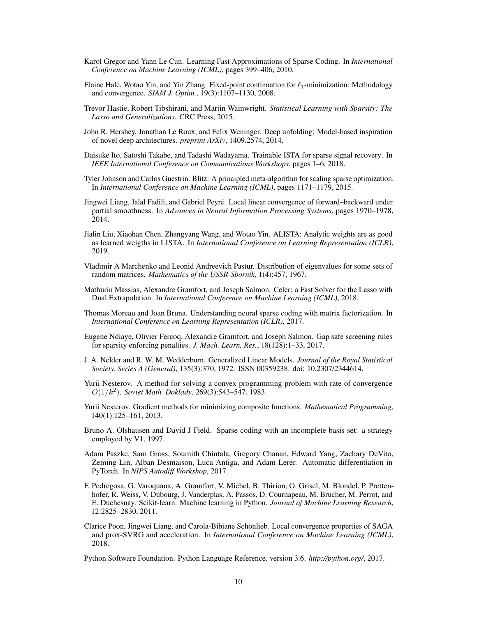- <span id="page-9-9"></span>Karol Gregor and Yann Le Cun. Learning Fast Approximations of Sparse Coding. In *International Conference on Machine Learning (ICML)*, pages 399–406, 2010.
- <span id="page-9-12"></span>Elaine Hale, Wotao Yin, and Yin Zhang. Fixed-point continuation for  $\ell_1$ -minimization: Methodology and convergence. *SIAM J. Optim.*, 19(3):1107–1130, 2008.
- <span id="page-9-1"></span>Trevor Hastie, Robert Tibshirani, and Martin Wainwright. *Statistical Learning with Sparsity: The Lasso and Generalizations*. CRC Press, 2015.
- John R. Hershey, Jonathan Le Roux, and Felix Weninger. Deep unfolding: Model-based inspiration of novel deep architectures. *preprint ArXiv*, 1409.2574, 2014.
- <span id="page-9-10"></span>Daisuke Ito, Satoshi Takabe, and Tadashi Wadayama. Trainable ISTA for sparse signal recovery. In *IEEE International Conference on Communications Workshops*, pages 1–6, 2018.
- <span id="page-9-5"></span>Tyler Johnson and Carlos Guestrin. Blitz: A principled meta-algorithm for scaling sparse optimization. In *International Conference on Machine Learning (ICML)*, pages 1171–1179, 2015.
- <span id="page-9-3"></span>Jingwei Liang, Jalal Fadili, and Gabriel Peyré. Local linear convergence of forward–backward under partial smoothness. In *Advances in Neural Information Processing Systems*, pages 1970–1978, 2014.
- <span id="page-9-11"></span>Jialin Liu, Xiaohan Chen, Zhangyang Wang, and Wotao Yin. ALISTA: Analytic weights are as good as learned weigths in LISTA. In *International Conference on Learning Representation (ICLR)*, 2019.
- <span id="page-9-13"></span>Vladimir A Marchenko and Leonid Andreevich Pastur. Distribution of eigenvalues for some sets of random matrices. *Mathematics of the USSR-Sbornik*, 1(4):457, 1967.
- <span id="page-9-6"></span>Mathurin Massias, Alexandre Gramfort, and Joseph Salmon. Celer: a Fast Solver for the Lasso with Dual Extrapolation. In *International Conference on Machine Learning (ICML)*, 2018.
- <span id="page-9-15"></span>Thomas Moreau and Joan Bruna. Understanding neural sparse coding with matrix factorization. In *International Conference on Learning Representation (ICLR)*, 2017.
- <span id="page-9-4"></span>Eugene Ndiaye, Olivier Fercoq, Alexandre Gramfort, and Joseph Salmon. Gap safe screening rules for sparsity enforcing penalties. *J. Mach. Learn. Res.*, 18(128):1–33, 2017.
- <span id="page-9-0"></span>J. A. Nelder and R. W. M. Wedderburn. Generalized Linear Models. *Journal of the Royal Statistical Society. Series A (General)*, 135(3):370, 1972. ISSN 00359238. doi: 10.2307/2344614.
- <span id="page-9-2"></span>Yurii Nesterov. A method for solving a convex programming problem with rate of convergence  $O(1/k^2)$ . *Soviet Math. Doklady*, 269(3):543–547, 1983.
- <span id="page-9-14"></span>Yurii Nesterov. Gradient methods for minimizing composite functions. *Mathematical Programming*, 140(1):125–161, 2013.
- <span id="page-9-8"></span>Bruno A. Olshausen and David J Field. Sparse coding with an incomplete basis set: a strategy employed by V1, 1997.
- <span id="page-9-17"></span>Adam Paszke, Sam Gross, Soumith Chintala, Gregory Chanan, Edward Yang, Zachary DeVito, Zeming Lin, Alban Desmaison, Luca Antiga, and Adam Lerer. Automatic differentiation in PyTorch. In *NIPS Autodiff Workshop*, 2017.
- <span id="page-9-18"></span>F. Pedregosa, G. Varoquaux, A. Gramfort, V. Michel, B. Thirion, O. Grisel, M. Blondel, P. Prettenhofer, R. Weiss, V. Dubourg, J. Vanderplas, A. Passos, D. Cournapeau, M. Brucher, M. Perrot, and E. Duchesnay. Scikit-learn: Machine learning in Python. *Journal of Machine Learning Research*, 12:2825–2830, 2011.
- <span id="page-9-7"></span>Clarice Poon, Jingwei Liang, and Carola-Bibiane Schönlieb. Local convergence properties of SAGA and prox-SVRG and acceleration. In *International Conference on Machine Learning (ICML)*, 2018.

<span id="page-9-16"></span>Python Software Foundation. Python Language Reference, version 3.6. *http://python.org/*, 2017.